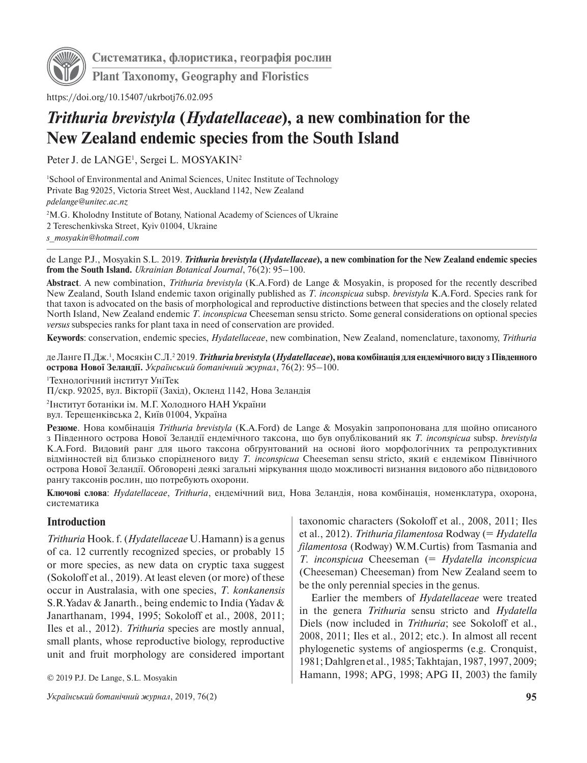

**Систематика, флористика, географія рослин**

**Plant Taxonomy, Geography and Floristics**

https://doi.org/10.15407/ukrbotj76.02.095

# *Trithuria brevistyla* **(***Hydatellaceae***), a new combination for the New Zealand endemic species from the South Island**

Peter J. de LANGE<sup>1</sup>, Sergei L. MOSYAKIN<sup>2</sup>

1 School of Environmental and Animal Sciences, Unitec Institute of Technology Private Bag 92025, Victoria Street West, Auckland 1142, New Zealand *[pdelange@unitec.ac.nz](mailto:pdelange@unitec.ac.nz)* 2 M.G. Kholodny Institute of Botany, National Academy of Sciences of Ukraine

2 Tereschenkivska Street, Kyiv 01004, Ukraine

*[s\\_mosyakin@hotmail.com](mailto:s_mosyakin@hotmail.com)*

de Lange P.J., Mosyakin S.L. 2019. *Trithuria brevistyla* **(***Hydatellaceae***), a new combination for the New Zealand endemic species from the South Island.** *Ukrainian Botanical Journal*, 76(2): 95–100.

**Abstract**. A new combination, *Trithuria brevistyla* (K.A.Ford) de Lange & Mosyakin, is proposed for the recently described New Zealand, South Island endemic taxon originally published as *T. inconspicua* subsp. *brevistyla* K.A.Ford. Species rank for that taxon is advocated on the basis of morphological and reproductive distinctions between that species and the closely related North Island, New Zealand endemic *T. inconspicua* Cheeseman sensu stricto. Some general considerations on optional species *versus* subspecies ranks for plant taxa in need of conservation are provided.

**Keywords**: conservation, endemic species, *Hydatellaceae*, new combination, New Zealand, nomenclature, taxonomy, *Trithuria*

де Ланге П.Дж.', Мосякін С.Л.<sup>2</sup> 2019. *Trithuria brevistyla (Hydatellaceae***), нова комбінація для ендемічного виду з Південного острова Нової Зеландії.** *Український ботанічний журнал*, 76(2): 95–100.

1 Технологічний інститут УніТек

П/скр. 92025, вул. Вікторії (Захід), Окленд 1142, Нова Зеландія

2 Інститут ботаніки ім. М.Г. Холодного НАН України вул. Терещенківська 2, Київ 01004, Україна

**Резюме**. Нова комбінація *Trithuria brevistyla* (K.A.Ford) de Lange & Mosyakin запропонована для щойно описаного з Південного острова Нової Зеландії ендемічного таксона, що був опублікований як *T. inconspicua* subsp. *brevistyla*  K.A.Ford. Видовий ранг для цього таксона обґрунтований на основі його морфологічних та репродуктивних відмінностей від близько спорідненого виду *T. inconspicua* Cheeseman sensu stricto, який є ендеміком Північного острова Нової Зеландії. Обговорені деякі загальні міркування щодо можливості визнання видового або підвидового рангу таксонів рослин, що потребують охорони.

**Ключові слова**: *Hydatellaceae*, *Trithuria*, ендемічний вид, Нова Зеландія, нова комбінація, номенклатура, охорона, систематика

### **Introduction**

*Trithuria* Hook. f. (*Hydatellaceae* U.Hamann) is a genus of ca. 12 currently recognized species, or probably 15 or more species, as new data on cryptic taxa suggest (Sokoloff et al., 2019). At least eleven (or more) of these occur in Australasia, with one species, *T. konkanensis*  S.R.Yadav & Janarth., being endemic to India (Yadav & Janarthanam, 1994, 1995; Sokoloff et al., 2008, 2011; Iles et al., 2012). *Trithuria* species are mostly annual, small plants, whose reproductive biology, reproductive unit and fruit morphology are considered important

© 2019 P.J. De Lange, S.L. Mosyakin

*Український ботанічний журнал*, 2019, 76(2) **95**

taxonomic characters (Sokoloff et al., 2008, 2011; Iles et al., 2012). *Trithuria filamentosa* Rodway (= *Hydatella filamentosa* (Rodway) W.M.Curtis) from Tasmania and *T. inconspicua* Cheeseman (= *Hydatella inconspicua* (Cheeseman) Cheeseman) from New Zealand seem to be the only perennial species in the genus.

Earlier the members of *Hydatellaceae* were treated in the genera *Trithuria* sensu stricto and *Hydatella* Diels (now included in *Trithuria*; see Sokoloff et al., 2008, 2011; Iles et al., 2012; etc.). In almost all recent phylogenetic systems of angiosperms (e.g. Cronquist, 1981; Dahlgren et al., 1985; Takhtajan, 1987, 1997, 2009; Hamann, 1998; APG, 1998; APG II, 2003) the family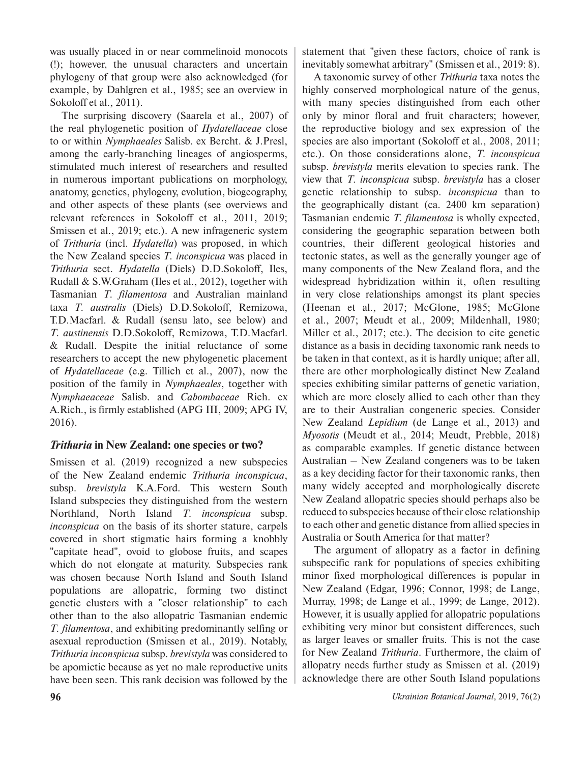was usually placed in or near commelinoid monocots (!); however, the unusual characters and uncertain phylogeny of that group were also acknowledged (for example, by Dahlgren et al., 1985; see an overview in Sokoloff et al., 2011).

The surprising discovery (Saarela et al., 2007) of the real phylogenetic position of *Hydatellaceae* close to or within *Nymphaeales* Salisb. ex Bercht. & J.Presl, among the early-branching lineages of angiosperms, stimulated much interest of researchers and resulted in numerous important publications on morphology, anatomy, genetics, phylogeny, evolution, biogeography, and other aspects of these plants (see overviews and relevant references in Sokoloff et al., 2011, 2019; Smissen et al., 2019; etc.). A new infrageneric system of *Trithuria* (incl. *Hydatella*) was proposed, in which the New Zealand species *T. inconspicua* was placed in *Trithuria* sect. *Hydatella* (Diels) D.D.Sokoloff, Iles, Rudall & S.W.Graham (Iles et al., 2012), together with Tasmanian *T. filamentosa* and Australian mainland taxa *T. australis* (Diels) D.D.Sokoloff, Remizowa, T.D.Macfarl. & Rudall (sensu lato, see below) and *T. austinensis* D.D.Sokoloff, Remizowa, T.D.Macfarl. & Rudall. Despite the initial reluctance of some researchers to accept the new phylogenetic placement of *Hydatellaceae* (e.g. Tillich et al., 2007), now the position of the family in *Nymphaeales*, together with *Nymphaeaceae* Salisb. and *Cabombaceae* Rich. ex A.Rich., is firmly established (APG III, 2009; APG IV, 2016).

## *Trithuria* **in New Zealand: one species or two?**

Smissen et al. (2019) recognized a new subspecies of the New Zealand endemic *Trithuria inconspicua*, subsp. *brevistyla* K.A.Ford. This western South Island subspecies they distinguished from the western Northland, North Island *T. inconspicua* subsp. *inconspicua* on the basis of its shorter stature, carpels covered in short stigmatic hairs forming a knobbly "capitate head", ovoid to globose fruits, and scapes which do not elongate at maturity. Subspecies rank was chosen because North Island and South Island populations are allopatric, forming two distinct genetic clusters with a "closer relationship" to each other than to the also allopatric Tasmanian endemic *T. filamentosa*, and exhibiting predominantly selfing or asexual reproduction (Smissen et al., 2019). Notably, *Trithuria inconspicua* subsp. *brevistyla* was considered to be apomictic because as yet no male reproductive units have been seen. This rank decision was followed by the statement that "given these factors, choice of rank is inevitably somewhat arbitrary" (Smissen et al., 2019: 8).

A taxonomic survey of other *Trithuria* taxa notes the highly conserved morphological nature of the genus, with many species distinguished from each other only by minor floral and fruit characters; however, the reproductive biology and sex expression of the species are also important (Sokoloff et al., 2008, 2011; etc.). On those considerations alone, *T. inconspicua* subsp. *brevistyla* merits elevation to species rank. The view that *T. inconspicua* subsp. *brevistyla* has a closer genetic relationship to subsp. *inconspicua* than to the geographically distant (ca. 2400 km separation) Tasmanian endemic *T. filamentosa* is wholly expected, considering the geographic separation between both countries, their different geological histories and tectonic states, as well as the generally younger age of many components of the New Zealand flora, and the widespread hybridization within it, often resulting in very close relationships amongst its plant species (Heenan et al., 2017; McGlone, 1985; McGlone et al., 2007; Meudt et al., 2009; Mildenhall, 1980; Miller et al., 2017; etc.). The decision to cite genetic distance as a basis in deciding taxonomic rank needs to be taken in that context, as it is hardly unique; after all, there are other morphologically distinct New Zealand species exhibiting similar patterns of genetic variation, which are more closely allied to each other than they are to their Australian congeneric species. Consider New Zealand *Lepidium* (de Lange et al., 2013) and *Myosotis* (Meudt et al., 2014; Meudt, Prebble, 2018) as comparable examples. If genetic distance between Australian – New Zealand congeners was to be taken as a key deciding factor for their taxonomic ranks, then many widely accepted and morphologically discrete New Zealand allopatric species should perhaps also be reduced to subspecies because of their close relationship to each other and genetic distance from allied species in Australia or South America for that matter?

The argument of allopatry as a factor in defining subspecific rank for populations of species exhibiting minor fixed morphological differences is popular in New Zealand (Edgar, 1996; Connor, 1998; de Lange, Murray, 1998; de Lange et al., 1999; de Lange, 2012). However, it is usually applied for allopatric populations exhibiting very minor but consistent differences, such as larger leaves or smaller fruits. This is not the case for New Zealand *Trithuria*. Furthermore, the claim of allopatry needs further study as Smissen et al. (2019) acknowledge there are other South Island populations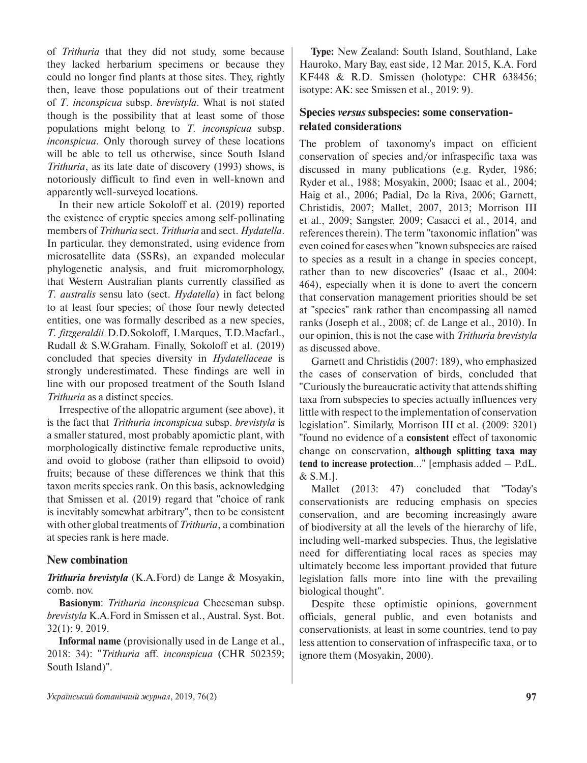of *Trithuria* that they did not study, some because they lacked herbarium specimens or because they could no longer find plants at those sites. They, rightly then, leave those populations out of their treatment of *T. inconspicua* subsp. *brevistyla*. What is not stated though is the possibility that at least some of those populations might belong to *T. inconspicua* subsp. *inconspicua*. Only thorough survey of these locations will be able to tell us otherwise, since South Island *Trithuria*, as its late date of discovery (1993) shows, is notoriously difficult to find even in well-known and apparently well-surveyed locations.

In their new article Sokoloff et al. (2019) reported the existence of cryptic species among self-pollinating members of *Trithuria* sect. *Trithuria* and sect. *Hydatella*. In particular, they demonstrated, using evidence from microsatellite data (SSRs), an expanded molecular phylogenetic analysis, and fruit micromorphology, that Western Australian plants currently classified as *T. australis* sensu lato (sect. *Hydatella*) in fact belong to at least four species; of those four newly detected entities, one was formally described as a new species, *T. fitzgeraldii* D.D.Sokoloff, I.Marques, T.D.Macfarl., Rudall & S.W.Graham. Finally, Sokoloff et al. (2019) concluded that species diversity in *Hydatellaceae* is strongly underestimated. These findings are well in line with our proposed treatment of the South Island *Trithuria* as a distinct species.

Irrespective of the allopatric argument (see above), it is the fact that *Trithuria inconspicua* subsp. *brevistyla* is a smaller statured, most probably apomictic plant, with morphologically distinctive female reproductive units, and ovoid to globose (rather than ellipsoid to ovoid) fruits; because of these differences we think that this taxon merits species rank. On this basis, acknowledging that Smissen et al. (2019) regard that "choice of rank is inevitably somewhat arbitrary", then to be consistent with other global treatments of *Trithuria*, a combination at species rank is here made.

### **New combination**

*Trithuria brevistyla* (K.A.Ford) de Lange & Mosyakin, comb. nov.

**Basionym**: *Trithuria inconspicua* Cheeseman subsp. *brevistyla* K.A.Ford in Smissen et al., Austral. Syst. Bot. 32(1): 9. 2019.

**Informal name** (provisionally used in de Lange et al., 2018: 34): "*Trithuria* aff. *inconspicua* (CHR 502359; South Island)".

**Type:** New Zealand: South Island, Southland, Lake Hauroko, Mary Bay, east side, 12 Mar. 2015, K.A. Ford KF448 & R.D. Smissen (holotype: CHR 638456; isotype: AK: see Smissen et al., 2019: 9).

# **Species** *versus* **subspecies: some conservationrelated considerations**

The problem of taxonomy's impact on efficient conservation of species and/or infraspecific taxa was discussed in many publications (e.g. Ryder, 1986; Ryder et al., 1988; Mosyakin, 2000; Isaac et al., 2004; Haig et al., 2006; Padial, De la Riva, 2006; Garnett, Christidis, 2007; Mallet, 2007, 2013; Morrison III et al., 2009; Sangster, 2009; Casacci et al., 2014, and references therein). The term "taxonomic inflation" was even coined for cases when "known subspecies are raised to species as a result in a change in species concept, rather than to new discoveries" (Isaac et al., 2004: 464), especially when it is done to avert the concern that conservation management priorities should be set at "species" rank rather than encompassing all named ranks (Joseph et al., 2008; cf. de Lange et al., 2010). In our opinion, this is not the case with *Trithuria brevistyla*  as discussed above.

Garnett and Christidis (2007: 189), who emphasized the cases of conservation of birds, concluded that "Curiously the bureaucratic activity that attends shifting taxa from subspecies to species actually influences very little with respect to the implementation of conservation legislation". Similarly, Morrison III et al. (2009: 3201) "found no evidence of a **consistent** effect of taxonomic change on conservation, **although splitting taxa may tend to increase protection**…" [emphasis added – P.dL. & S.M.].

Mallet (2013: 47) concluded that "Today's conservationists are reducing emphasis on species conservation, and are becoming increasingly aware of biodiversity at all the levels of the hierarchy of life, including well-marked subspecies. Thus, the legislative need for differentiating local races as species may ultimately become less important provided that future legislation falls more into line with the prevailing biological thought".

Despite these optimistic opinions, government officials, general public, and even botanists and conservationists, at least in some countries, tend to pay less attention to conservation of infraspecific taxa, or to ignore them (Mosyakin, 2000).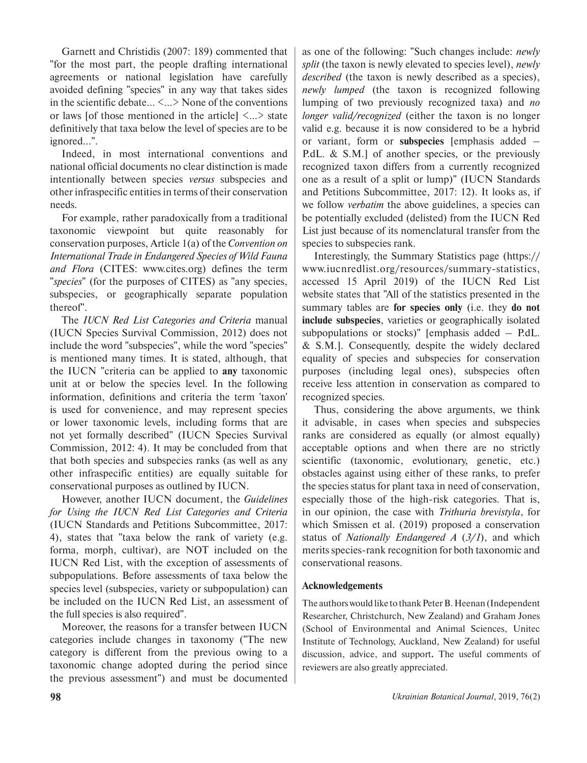Garnett and Christidis (2007: 189) commented that "for the most part, the people drafting international agreements or national legislation have carefully avoided defining "species" in any way that takes sides in the scientific debate… <…> None of the conventions or laws [of those mentioned in the article]  $\langle ... \rangle$  state definitively that taxa below the level of species are to be ignored…".

Indeed, in most international conventions and national official documents no clear distinction is made intentionally between species *versus* subspecies and other infraspecific entities in terms of their conservation needs.

For example, rather paradoxically from a traditional taxonomic viewpoint but quite reasonably for conservation purposes, Article 1(a) of the *Convention on International Trade in Endangered Species of Wild Fauna and Flora* (CITES: [www.cites.org](http://www.cites.org)) defines the term "*species*" (for the purposes of CITES) as "any species, subspecies, or geographically separate population thereof".

The *IUCN Red List Categories and Criteria* manual (IUCN Species Survival Commission, 2012) does not include the word "subspecies", while the word "species" is mentioned many times. It is stated, although, that the IUCN "criteria can be applied to **any** taxonomic unit at or below the species level. In the following information, definitions and criteria the term 'taxon' is used for convenience, and may represent species or lower taxonomic levels, including forms that are not yet formally described" (IUCN Species Survival Commission, 2012: 4). It may be concluded from that that both species and subspecies ranks (as well as any other infraspecific entities) are equally suitable for conservational purposes as outlined by IUCN.

However, another IUCN document, the *Guidelines for Using the IUCN Red List Categories and Criteria* (IUCN Standards and Petitions Subcommittee, 2017: 4), states that "taxa below the rank of variety (e.g. forma, morph, cultivar), are NOT included on the IUCN Red List, with the exception of assessments of subpopulations. Before assessments of taxa below the species level (subspecies, variety or subpopulation) can be included on the IUCN Red List, an assessment of the full species is also required".

Moreover, the reasons for a transfer between IUCN categories include changes in taxonomy ("The new category is different from the previous owing to a taxonomic change adopted during the period since the previous assessment") and must be documented as one of the following: "Such changes include: *newly split* (the taxon is newly elevated to species level), *newly described* (the taxon is newly described as a species), *newly lumped* (the taxon is recognized following lumping of two previously recognized taxa) and *no longer valid/recognized* (either the taxon is no longer valid e.g. because it is now considered to be a hybrid or variant, form or **subspecies** [emphasis added – P.d.L. & S.M.] of another species, or the previously recognized taxon differs from a currently recognized one as a result of a split or lump)" (IUCN Standards and Petitions Subcommittee, 2017: 12). It looks as, if we follow *verbatim* the above guidelines, a species can be potentially excluded (delisted) from the IUCN Red List just because of its nomenclatural transfer from the species to subspecies rank.

Interestingly, the Summary Statistics page ([https://](https://www.iucnredlist.org/resources/summary-statistics) [www.iucnredlist.org/resources/summary-statistics](https://www.iucnredlist.org/resources/summary-statistics), accessed 15 April 2019) of the IUCN Red List website states that "All of the statistics presented in the summary tables are **for species only** (i.e. they **do not include subspecies**, varieties or geographically isolated subpopulations or stocks)" [emphasis added – P.dL. & S.M.]. Consequently, despite the widely declared equality of species and subspecies for conservation purposes (including legal ones), subspecies often receive less attention in conservation as compared to recognized species.

Thus, considering the above arguments, we think it advisable, in cases when species and subspecies ranks are considered as equally (or almost equally) acceptable options and when there are no strictly scientific (taxonomic, evolutionary, genetic, etc.) obstacles against using either of these ranks, to prefer the species status for plant taxa in need of conservation, especially those of the high-risk categories. That is, in our opinion, the case with *Trithuria brevistyla*, for which Smissen et al. (2019) proposed a conservation status of *Nationally Endangered A* (*3/1*), and which merits species-rank recognition for both taxonomic and conservational reasons.

### **Acknowledgements**

The authors would like to thank Peter B. Heenan (Independent Researcher, Christchurch, New Zealand) and Graham Jones (School of Environmental and Animal Sciences, Unitec Institute of Technology, Auckland, New Zealand) for useful discussion, advice, and support**.** The useful comments of reviewers are also greatly appreciated.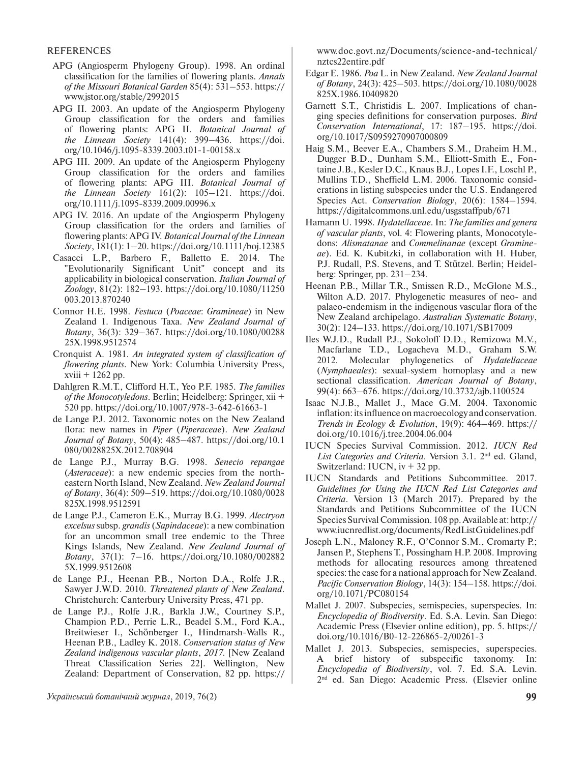#### REFERENCES

- APG (Angiosperm Phylogeny Group). 1998. An ordinal classification for the families of flowering plants. *Annals of the Missouri Botanical Garden* 85(4): 531–553. [https://](https://www.jstor.org/stable/2992015) [www.jstor.org/stable/2992015](https://www.jstor.org/stable/2992015)
- APG II. 2003. An update of the Angiosperm Phylogeny Group classification for the orders and families of flowering plants: APG II. *Botanical Journal of the Linnean Society* 141(4): 399–436. [https://doi.](https://doi.org/10.1046/j.1095-8339.2003.t01-1-00158.x) [org/10.1046/j.1095-8339.2003.t01-1-00158.x](https://doi.org/10.1046/j.1095-8339.2003.t01-1-00158.x)
- APG III. 2009. An update of the Angiosperm Phylogeny Group classification for the orders and families of flowering plants: APG III. *Botanical Journal of the Linnean Society* 161(2): 105–121. [https://doi.](https://doi.org/10.1111/j.1095-8339.2009.00996.x) [org/10.1111/j.1095-8339.2009.00996.x](https://doi.org/10.1111/j.1095-8339.2009.00996.x)
- APG IV. 2016. An update of the Angiosperm Phylogeny Group classification for the orders and families of flowering plants: APG IV. *Botanical Journal of the Linnean Society*, 181(1): 1–20.<https://doi.org/10.1111/boj.12385>
- Casacci L.P., Barbero F., Balletto E. 2014. The "Evolutionarily Significant Unit" concept and its applicability in biological conservation. *Italian Journal of Zoology*, 81(2): 182–193. [https://doi.org/10.1080/11250](https://doi.org/10.1080/11250003.2013.870240) [003.2013.870240](https://doi.org/10.1080/11250003.2013.870240)
- Connor H.E. 1998. *Festuca* (*Poaceae*: *Gramineae*) in New Zealand 1. Indigenous Taxa. *New Zealand Journal of Botany*, 36(3): 329–367. [https://doi.org/10.1080/00288](https://doi.org/10.1080/0028825X.1998.9512574) [25X.1998.9512574](https://doi.org/10.1080/0028825X.1998.9512574)
- Cronquist A. 1981. *An integrated system of classification of flowering plants*. New York: Columbia University Press, xviii + 1262 pp.
- Dahlgren R.M.T., Clifford H.T., Yeo P.F. 1985. *The families of the Monocotyledons*. Berlin; Heidelberg: Springer, xii + 520 pp.<https://doi.org/10.1007/978-3-642-61663-1>
- de Lange P.J. 2012. Taxonomic notes on the New Zealand flora: new names in *Piper* (*Piperaceae*). *New Zealand Journal of Botany*, 50(4): 485–487. [https://doi.org/10.1](https://doi.org/10.1080/0028825X.2012.708904) [080/0028825X.2012.708904](https://doi.org/10.1080/0028825X.2012.708904)
- de Lange P.J., Murray B.G. 1998. *Senecio repangae* (*Asteraceae*): a new endemic species from the northeastern North Island, New Zealand. *New Zealand Journal of Botany*, 36(4): 509–519. [https://doi.org/10.1080/0028](https://doi.org/10.1080/0028825X.1998.9512591) [825X.1998.9512591](https://doi.org/10.1080/0028825X.1998.9512591)
- de Lange P.J., Cameron E.K., Murray B.G. 1999. *Alectryon excelsus* subsp. *grandis* (*Sapindaceae*): a new combination for an uncommon small tree endemic to the Three Kings Islands, New Zealand. *New Zealand Journal of Botany*, 37(1): 7–16. [https://doi.org/10.1080/002882](https://doi.org/10.1080/0028825X.1999.9512608) [5X.1999.9512608](https://doi.org/10.1080/0028825X.1999.9512608)
- de Lange P.J., Heenan P.B., Norton D.A., Rolfe J.R., Sawyer J.W.D. 2010. *Threatened plants of New Zealand*. Christchurch: Canterbury University Press, 471 pp.
- de Lange P.J., Rolfe J.R., Barkla J.W., Courtney S.P., Champion P.D., Perrie L.R., Beadel S.M., Ford K.A., Breitwieser I., Schönberger I., Hindmarsh-Walls R., Heenan P.B., Ladley K. 2018. *Conservation status of New Zealand indigenous vascular plants*, *2017*. [New Zealand Threat Classification Series 22]. Wellington, New Zealand: Department of Conservation, 82 pp. [https://](https://www.doc.govt.nz/Documents/science-and-technical/nztcs22entire.pdf)

[www.doc.govt.nz/Documents/science-and-technical/](https://www.doc.govt.nz/Documents/science-and-technical/nztcs22entire.pdf) [nztcs22entire.pdf](https://www.doc.govt.nz/Documents/science-and-technical/nztcs22entire.pdf)

- Edgar E. 1986. *Poa* L. in New Zealand. *New Zealand Journal of Botany*, 24(3): 425–503. [https://doi.org/10.1080/0028](https://doi.org/10.1080/0028825X.1986.10409820) [825X.1986.10409820](https://doi.org/10.1080/0028825X.1986.10409820)
- Garnett S.T., Christidis L. 2007. Implications of changing species definitions for conservation purposes. *Bird Conservation International*, 17: 187–195. [https://doi.](https://doi.org/10.1017/S0959270907000809) [org/10.1017/S0959270907000809](https://doi.org/10.1017/S0959270907000809)
- Haig S.M., Beever E.A., Chambers S.M., Draheim H.M., Dugger B.D., Dunham S.M., Elliott-Smith E., Fontaine J.B., Kesler D.C., Knaus B.J., LopesI.F., Loschl P., Mullins T.D., Sheffield L.M. 2006. Taxonomic considerations in listing subspecies under the U.S. Endangered Species Act. *Conservation Biology*, 20(6): 1584–1594. <https://digitalcommons.unl.edu/usgsstaffpub/671>
- Hamann U. 1998. *Hydatellaceae*. In: *The families and genera of vascular plants*, vol. 4: Flowering plants, Monocotyledons: *Alismatanae* and *Commelinanae* (except *Gramineae*). Ed. K. Kubitzki, in collaboration with H. Huber, P.J. Rudall, P.S. Stevens, and T. Stützel. Berlin; Heidelberg: Springer, pp. 231–234.
- Heenan P.B., Millar T.R., Smissen R.D., McGlone M.S., Wilton A.D. 2017. Phylogenetic measures of neo- and palaeo-endemism in the indigenous vascular flora of the New Zealand archipelago. *Australian Systematic Botany*, 30(2): 124–133. <https://doi.org/10.1071/SB17009>
- Iles W.J.D., Rudall P.J., Sokoloff D.D., Remizowa M.V., Macfarlane T.D., Logacheva M.D., Graham S.W. 2012. Molecular phylogenetics of *Hydatellaceae* (*Nymphaeales*): sexual-system homoplasy and a new sectional classification. *American Journal of Botany*, 99(4): 663–676. <https://doi.org/10.3732/ajb.1100524>
- Isaac N.J.B., Mallet J., Mace G.M. 2004. Taxonomic inflation: its influence on macroecology and conservation. *Trends in Ecology & Evolution*, 19(9): 464–469. [https://](https://doi.org/10.1016/j.tree.2004.06.004) [doi.org/10.1016/j.tree.2004.06.004](https://doi.org/10.1016/j.tree.2004.06.004)
- IUCN Species Survival Commission. 2012. *IUCN Red*  List Categories and Criteria. Version 3.1. 2<sup>nd</sup> ed. Gland, Switzerland: IUCN, iv + 32 pp.
- IUCN Standards and Petitions Subcommittee. 2017. *Guidelines for Using the IUCN Red List Categories and Criteria*. Version 13 (March 2017). Prepared by the Standards and Petitions Subcommittee of the IUCN Species Survival Commission. 108 pp. Available at: [http://](http://www.iucnredlist.org/documents/RedListGuidelines.pdf) [www.iucnredlist.org/documents/RedListGuidelines.pdf](http://www.iucnredlist.org/documents/RedListGuidelines.pdf)
- Joseph L.N., Maloney R.F., O'Connor S.M., Cromarty P.; Jansen P., Stephens T., Possingham H.P. 2008. Improving methods for allocating resources among threatened species: the case for a national approach for New Zealand. *Pacific Conservation Biology*, 14(3): 154–158. https://doi. org/10.1071/PC080154
- Mallet J. 2007. Subspecies, semispecies, superspecies. In: *Encyclopedia of Biodiversity*. Ed. S.A. Levin. San Diego: Academic Press (Elsevier online edition), pp. 5. [https://](https://doi.org/10.1016/B0-12-226865-2/00261-3) [doi.org/10.1016/B0-12-226865-2/00261-3](https://doi.org/10.1016/B0-12-226865-2/00261-3)
- Mallet J. 2013. Subspecies, semispecies, superspecies. A brief history of subspecific taxonomy. In: *Encyclopedia of Biodiversity*, vol. 7. Ed. S.A. Levin. 2nd ed. San Diego: Academic Press. (Elsevier online

*Український ботанічний журнал*, 2019, 76(2) **99**